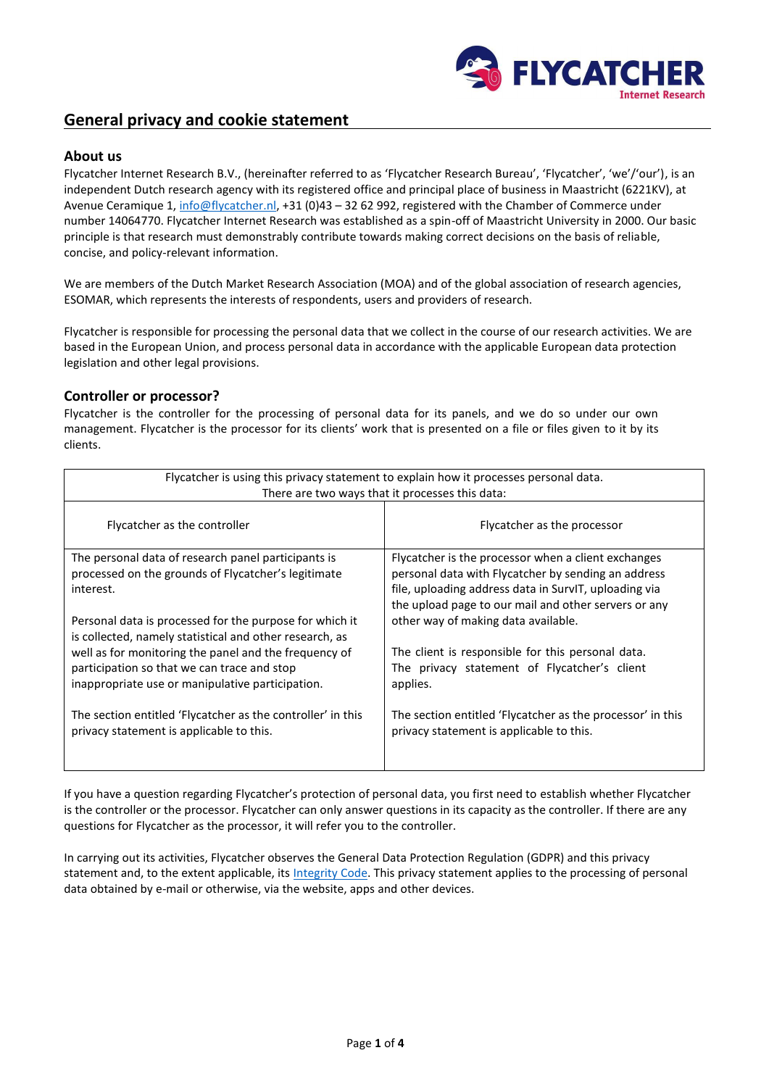

# **General privacy and cookie statement**

## **About us**

Flycatcher Internet Research B.V., (hereinafter referred to as 'Flycatcher Research Bureau', 'Flycatcher', 'we'/'our'), is an independent Dutch research agency with its registered office and principal place of business in Maastricht (6221KV), at Avenue Ceramique 1, [info@flycatcher.nl,](mailto:info@flycatcher.nl) +31 (0)43 - 32 62 992, registered with the Chamber of Commerce under number 14064770. Flycatcher Internet Research was established as a spin-off of Maastricht University in 2000. Our basic principle is that research must demonstrably contribute towards making correct decisions on the basis of reliable, concise, and policy-relevant information.

We are members of the Dutch Market Research Association (MOA) and of the global association of research agencies, ESOMAR, which represents the interests of respondents, users and providers of research.

Flycatcher is responsible for processing the personal data that we collect in the course of our research activities. We are based in the European Union, and process personal data in accordance with the applicable European data protection legislation and other legal provisions.

### **Controller or processor?**

Flycatcher is the controller for the processing of personal data for its panels, and we do so under our own management. Flycatcher is the processor for its clients' work that is presented on a file or files given to it by its clients.

| Flycatcher is using this privacy statement to explain how it processes personal data.<br>There are two ways that it processes this data:                 |                                                                                                                                                                                                                             |
|----------------------------------------------------------------------------------------------------------------------------------------------------------|-----------------------------------------------------------------------------------------------------------------------------------------------------------------------------------------------------------------------------|
| Flycatcher as the controller                                                                                                                             | Flycatcher as the processor                                                                                                                                                                                                 |
| The personal data of research panel participants is<br>processed on the grounds of Flycatcher's legitimate<br>interest.                                  | Flycatcher is the processor when a client exchanges<br>personal data with Flycatcher by sending an address<br>file, uploading address data in SurvIT, uploading via<br>the upload page to our mail and other servers or any |
| Personal data is processed for the purpose for which it<br>is collected, namely statistical and other research, as                                       | other way of making data available.                                                                                                                                                                                         |
| well as for monitoring the panel and the frequency of<br>participation so that we can trace and stop<br>inappropriate use or manipulative participation. | The client is responsible for this personal data.<br>The privacy statement of Flycatcher's client<br>applies.                                                                                                               |
| The section entitled 'Flycatcher as the controller' in this<br>privacy statement is applicable to this.                                                  | The section entitled 'Flycatcher as the processor' in this<br>privacy statement is applicable to this.                                                                                                                      |

If you have a question regarding Flycatcher's protection of personal data, you first need to establish whether Flycatcher is the controller or the processor. Flycatcher can only answer questions in its capacity as the controller. If there are any questions for Flycatcher as the processor, it will refer you to the controller.

In carrying out its activities, Flycatcher observes the General Data Protection Regulation (GDPR) and this privacy statement and, to the extent applicable, its [Integrity Code.](https://www.flycatcher.eu/nl/Content/pdf/Oorkonde%20MOA_flycatcher.pdf) This privacy statement applies to the processing of personal data obtained by e-mail or otherwise, via the website, apps and other devices.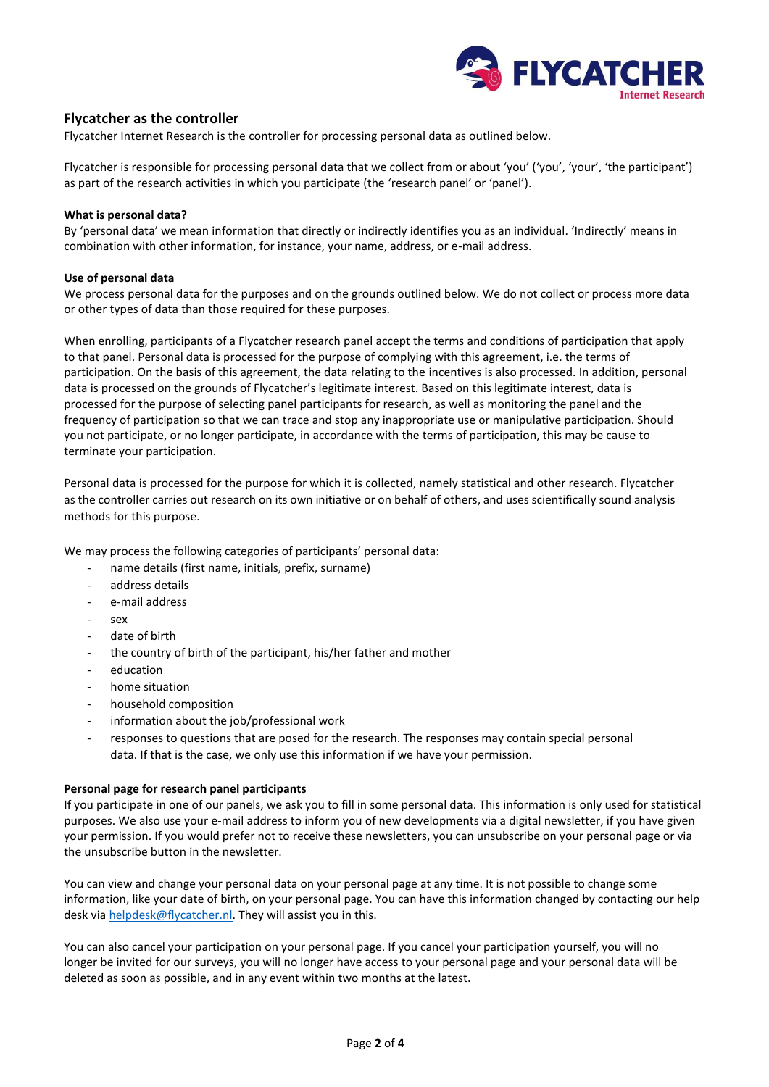

## **Flycatcher as the controller**

Flycatcher Internet Research is the controller for processing personal data as outlined below.

Flycatcher is responsible for processing personal data that we collect from or about 'you' ('you', 'your', 'the participant') as part of the research activities in which you participate (the 'research panel' or 'panel').

### **What is personal data?**

By 'personal data' we mean information that directly or indirectly identifies you as an individual. 'Indirectly' means in combination with other information, for instance, your name, address, or e-mail address.

#### **Use of personal data**

We process personal data for the purposes and on the grounds outlined below. We do not collect or process more data or other types of data than those required for these purposes.

When enrolling, participants of a Flycatcher research panel accept the terms and conditions of participation that apply to that panel. Personal data is processed for the purpose of complying with this agreement, i.e. the terms of participation. On the basis of this agreement, the data relating to the incentives is also processed. In addition, personal data is processed on the grounds of Flycatcher's legitimate interest. Based on this legitimate interest, data is processed for the purpose of selecting panel participants for research, as well as monitoring the panel and the frequency of participation so that we can trace and stop any inappropriate use or manipulative participation. Should you not participate, or no longer participate, in accordance with the terms of participation, this may be cause to terminate your participation.

Personal data is processed for the purpose for which it is collected, namely statistical and other research. Flycatcher as the controller carries out research on its own initiative or on behalf of others, and uses scientifically sound analysis methods for this purpose.

We may process the following categories of participants' personal data:

- name details (first name, initials, prefix, surname)
- address details
- e-mail address
- sex
- date of birth
- the country of birth of the participant, his/her father and mother
- education
- home situation
- household composition
- information about the job/professional work
- responses to questions that are posed for the research. The responses may contain special personal data. If that is the case, we only use this information if we have your permission.

### **Personal page for research panel participants**

If you participate in one of our panels, we ask you to fill in some personal data. This information is only used for statistical purposes. We also use your e-mail address to inform you of new developments via a digital newsletter, if you have given your permission. If you would prefer not to receive these newsletters, you can unsubscribe on your personal page or via the unsubscribe button in the newsletter.

You can view and change your personal data on your personal page at any time. It is not possible to change some information, like your date of birth, on your personal page. You can have this information changed by contacting our help desk vi[a helpdesk@flycatcher.nl.](mailto:helpdesk@flycatcher.nl) They will assist you in this.

You can also cancel your participation on your personal page. If you cancel your participation yourself, you will no longer be invited for our surveys, you will no longer have access to your personal page and your personal data will be deleted as soon as possible, and in any event within two months at the latest.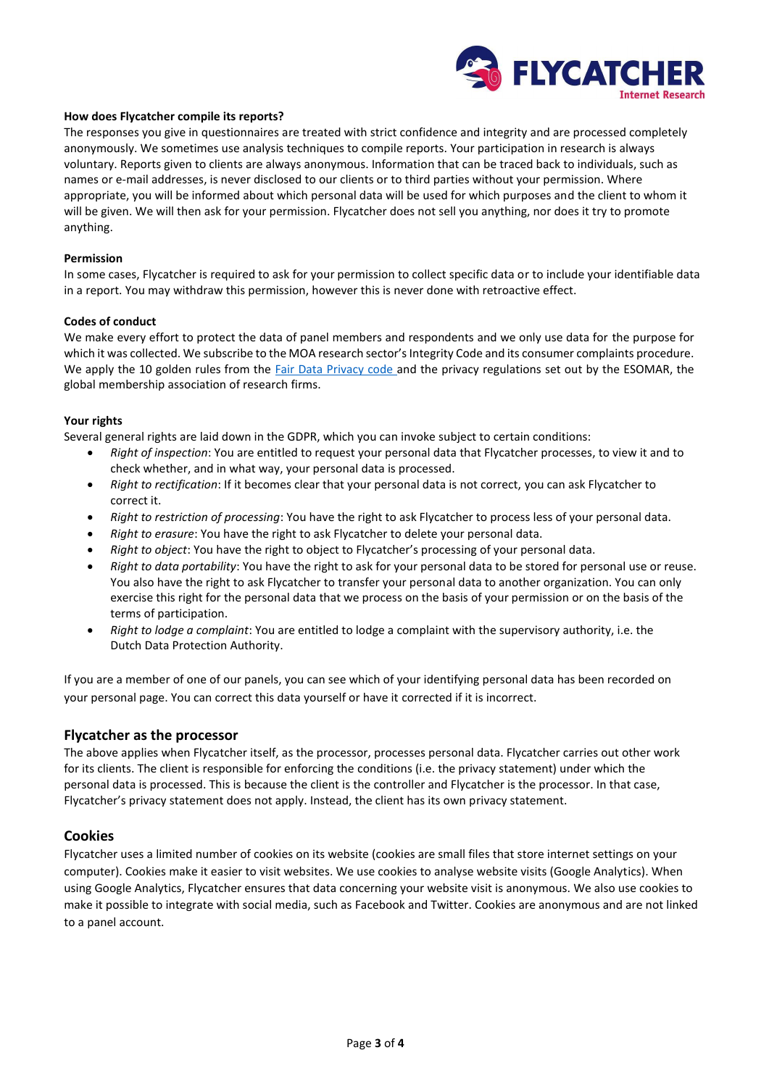

#### **How does Flycatcher compile its reports?**

The responses you give in questionnaires are treated with strict confidence and integrity and are processed completely anonymously. We sometimes use analysis techniques to compile reports. Your participation in research is always voluntary. Reports given to clients are always anonymous. Information that can be traced back to individuals, such as names or e-mail addresses, is never disclosed to our clients or to third parties without your permission. Where appropriate, you will be informed about which personal data will be used for which purposes and the client to whom it will be given. We will then ask for your permission. Flycatcher does not sell you anything, nor does it try to promote anything.

#### **Permission**

In some cases, Flycatcher is required to ask for your permission to collect specific data or to include your identifiable data in a report. You may withdraw this permission, however this is never done with retroactive effect.

#### **Codes of conduct**

We make every effort to protect the data of panel members and respondents and we only use data for the purpose for which it was collected. We subscribe to the MOA research sector's Integrity Code and its consumer complaints procedure. We apply the 10 golden rules from the *Fair Data Privacy code* and the privacy regulations set out by the ESOMAR, the global membership association of research firms.

### **Your rights**

Several general rights are laid down in the GDPR, which you can invoke subject to certain conditions:

- *Right of inspection*: You are entitled to request your personal data that Flycatcher processes, to view it and to check whether, and in what way, your personal data is processed.
- *Right to rectification*: If it becomes clear that your personal data is not correct, you can ask Flycatcher to correct it.
- *Right to restriction of processing*: You have the right to ask Flycatcher to process less of your personal data.
- *Right to erasure*: You have the right to ask Flycatcher to delete your personal data.
- *Right to object*: You have the right to object to Flycatcher's processing of your personal data.
- *Right to data portability*: You have the right to ask for your personal data to be stored for personal use or reuse. You also have the right to ask Flycatcher to transfer your personal data to another organization. You can only exercise this right for the personal data that we process on the basis of your permission or on the basis of the terms of participation.
- *Right to lodge a complaint*: You are entitled to lodge a complaint with the supervisory authority, i.e. the Dutch Data Protection Authority.

If you are a member of one of our panels, you can see which of your identifying personal data has been recorded on your personal page. You can correct this data yourself or have it corrected if it is incorrect.

### **Flycatcher as the processor**

The above applies when Flycatcher itself, as the processor, processes personal data. Flycatcher carries out other work for its clients. The client is responsible for enforcing the conditions (i.e. the privacy statement) under which the personal data is processed. This is because the client is the controller and Flycatcher is the processor. In that case, Flycatcher's privacy statement does not apply. Instead, the client has its own privacy statement.

### **Cookies**

Flycatcher uses a limited number of cookies on its website (cookies are small files that store internet settings on your computer). Cookies make it easier to visit websites. We use cookies to analyse website visits (Google Analytics). When using Google Analytics, Flycatcher ensures that data concerning your website visit is anonymous. We also use cookies to make it possible to integrate with social media, such as Facebook and Twitter. Cookies are anonymous and are not linked to a panel account.